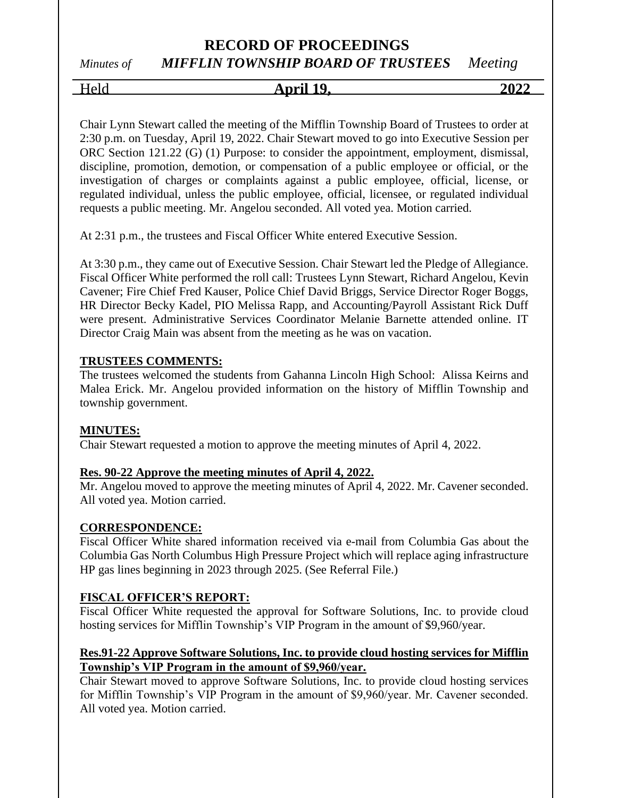# *Minutes of MIFFLIN TOWNSHIP BOARD OF TRUSTEES Meeting*

Held **April 19, 2022**

Chair Lynn Stewart called the meeting of the Mifflin Township Board of Trustees to order at 2:30 p.m. on Tuesday, April 19, 2022. Chair Stewart moved to go into Executive Session per ORC Section 121.22 (G) (1) Purpose: to consider the appointment, employment, dismissal, discipline, promotion, demotion, or compensation of a public employee or official, or the investigation of charges or complaints against a public employee, official, license, or regulated individual, unless the public employee, official, licensee, or regulated individual requests a public meeting. Mr. Angelou seconded. All voted yea. Motion carried.

At 2:31 p.m., the trustees and Fiscal Officer White entered Executive Session.

At 3:30 p.m., they came out of Executive Session. Chair Stewart led the Pledge of Allegiance. Fiscal Officer White performed the roll call: Trustees Lynn Stewart, Richard Angelou, Kevin Cavener; Fire Chief Fred Kauser, Police Chief David Briggs, Service Director Roger Boggs, HR Director Becky Kadel, PIO Melissa Rapp, and Accounting/Payroll Assistant Rick Duff were present. Administrative Services Coordinator Melanie Barnette attended online. IT Director Craig Main was absent from the meeting as he was on vacation.

### **TRUSTEES COMMENTS:**

The trustees welcomed the students from Gahanna Lincoln High School: Alissa Keirns and Malea Erick. Mr. Angelou provided information on the history of Mifflin Township and township government.

### **MINUTES:**

Chair Stewart requested a motion to approve the meeting minutes of April 4, 2022.

### **Res. 90-22 Approve the meeting minutes of April 4, 2022.**

Mr. Angelou moved to approve the meeting minutes of April 4, 2022. Mr. Cavener seconded. All voted yea. Motion carried.

### **CORRESPONDENCE:**

Fiscal Officer White shared information received via e-mail from Columbia Gas about the Columbia Gas North Columbus High Pressure Project which will replace aging infrastructure HP gas lines beginning in 2023 through 2025. (See Referral File.)

### **FISCAL OFFICER'S REPORT:**

Fiscal Officer White requested the approval for Software Solutions, Inc. to provide cloud hosting services for Mifflin Township's VIP Program in the amount of \$9,960/year.

### **Res.91-22 Approve Software Solutions, Inc. to provide cloud hosting services for Mifflin Township's VIP Program in the amount of \$9,960/year.**

Chair Stewart moved to approve Software Solutions, Inc. to provide cloud hosting services for Mifflin Township's VIP Program in the amount of \$9,960/year. Mr. Cavener seconded. All voted yea. Motion carried.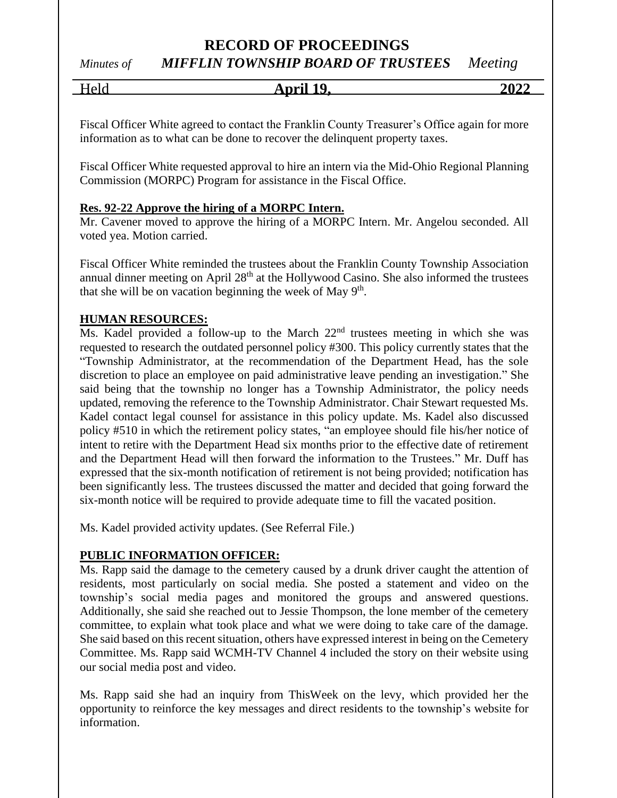# *Minutes of MIFFLIN TOWNSHIP BOARD OF TRUSTEES Meeting*

Held **April 19, 2022**

Fiscal Officer White agreed to contact the Franklin County Treasurer's Office again for more information as to what can be done to recover the delinquent property taxes.

Fiscal Officer White requested approval to hire an intern via the Mid-Ohio Regional Planning Commission (MORPC) Program for assistance in the Fiscal Office.

### **Res. 92-22 Approve the hiring of a MORPC Intern.**

Mr. Cavener moved to approve the hiring of a MORPC Intern. Mr. Angelou seconded. All voted yea. Motion carried.

Fiscal Officer White reminded the trustees about the Franklin County Township Association annual dinner meeting on April 28<sup>th</sup> at the Hollywood Casino. She also informed the trustees that she will be on vacation beginning the week of May  $9<sup>th</sup>$ .

### **HUMAN RESOURCES:**

Ms. Kadel provided a follow-up to the March  $22<sup>nd</sup>$  trustees meeting in which she was requested to research the outdated personnel policy #300. This policy currently states that the "Township Administrator, at the recommendation of the Department Head, has the sole discretion to place an employee on paid administrative leave pending an investigation." She said being that the township no longer has a Township Administrator, the policy needs updated, removing the reference to the Township Administrator. Chair Stewart requested Ms. Kadel contact legal counsel for assistance in this policy update. Ms. Kadel also discussed policy #510 in which the retirement policy states, "an employee should file his/her notice of intent to retire with the Department Head six months prior to the effective date of retirement and the Department Head will then forward the information to the Trustees." Mr. Duff has expressed that the six-month notification of retirement is not being provided; notification has been significantly less. The trustees discussed the matter and decided that going forward the six-month notice will be required to provide adequate time to fill the vacated position.

Ms. Kadel provided activity updates. (See Referral File.)

### **PUBLIC INFORMATION OFFICER:**

Ms. Rapp said the damage to the cemetery caused by a drunk driver caught the attention of residents, most particularly on social media. She posted a statement and video on the township's social media pages and monitored the groups and answered questions. Additionally, she said she reached out to Jessie Thompson, the lone member of the cemetery committee, to explain what took place and what we were doing to take care of the damage. She said based on this recent situation, others have expressed interest in being on the Cemetery Committee. Ms. Rapp said WCMH-TV Channel 4 included the story on their website using our social media post and video.

Ms. Rapp said she had an inquiry from ThisWeek on the levy, which provided her the opportunity to reinforce the key messages and direct residents to the township's website for information.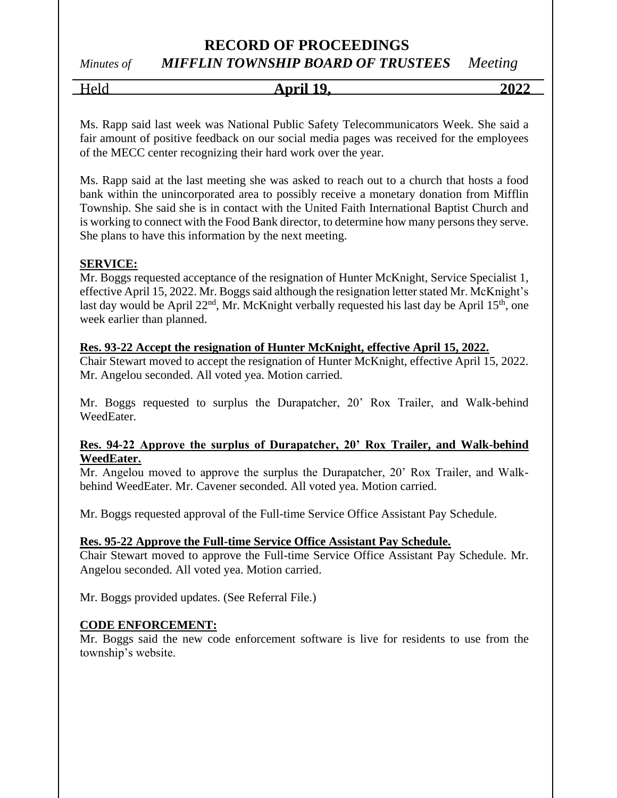# *Minutes of MIFFLIN TOWNSHIP BOARD OF TRUSTEES Meeting*

Held **April 19, 2022**

Ms. Rapp said last week was National Public Safety Telecommunicators Week. She said a fair amount of positive feedback on our social media pages was received for the employees of the MECC center recognizing their hard work over the year.

Ms. Rapp said at the last meeting she was asked to reach out to a church that hosts a food bank within the unincorporated area to possibly receive a monetary donation from Mifflin Township. She said she is in contact with the United Faith International Baptist Church and is working to connect with the Food Bank director, to determine how many persons they serve. She plans to have this information by the next meeting.

### **SERVICE:**

Mr. Boggs requested acceptance of the resignation of Hunter McKnight, Service Specialist 1, effective April 15, 2022. Mr. Boggs said although the resignation letter stated Mr. McKnight's last day would be April  $22<sup>nd</sup>$ , Mr. McKnight verbally requested his last day be April 15<sup>th</sup>, one week earlier than planned.

#### **Res. 93-22 Accept the resignation of Hunter McKnight, effective April 15, 2022.**

Chair Stewart moved to accept the resignation of Hunter McKnight, effective April 15, 2022. Mr. Angelou seconded. All voted yea. Motion carried.

Mr. Boggs requested to surplus the Durapatcher, 20' Rox Trailer, and Walk-behind WeedEater.

### **Res. 94-22 Approve the surplus of Durapatcher, 20' Rox Trailer, and Walk-behind WeedEater.**

Mr. Angelou moved to approve the surplus the Durapatcher, 20' Rox Trailer, and Walkbehind WeedEater. Mr. Cavener seconded. All voted yea. Motion carried.

Mr. Boggs requested approval of the Full-time Service Office Assistant Pay Schedule.

#### **Res. 95-22 Approve the Full-time Service Office Assistant Pay Schedule.**

Chair Stewart moved to approve the Full-time Service Office Assistant Pay Schedule. Mr. Angelou seconded. All voted yea. Motion carried.

Mr. Boggs provided updates. (See Referral File.)

#### **CODE ENFORCEMENT:**

Mr. Boggs said the new code enforcement software is live for residents to use from the township's website.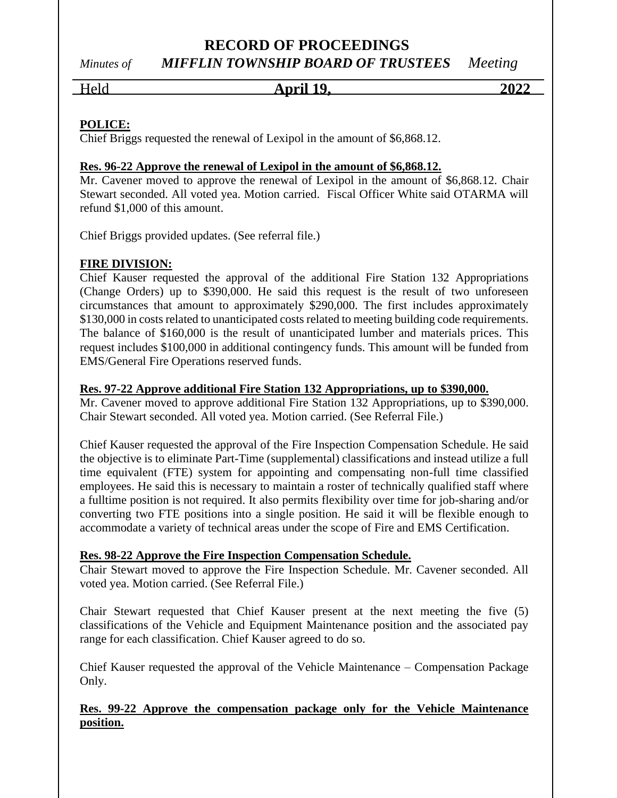# *Minutes of MIFFLIN TOWNSHIP BOARD OF TRUSTEES Meeting*

Held **April 19, 2022**

# **POLICE:**

Chief Briggs requested the renewal of Lexipol in the amount of \$6,868.12.

### **Res. 96-22 Approve the renewal of Lexipol in the amount of \$6,868.12.**

Mr. Cavener moved to approve the renewal of Lexipol in the amount of \$6,868.12. Chair Stewart seconded. All voted yea. Motion carried. Fiscal Officer White said OTARMA will refund \$1,000 of this amount.

Chief Briggs provided updates. (See referral file.)

### **FIRE DIVISION:**

Chief Kauser requested the approval of the additional Fire Station 132 Appropriations (Change Orders) up to \$390,000. He said this request is the result of two unforeseen circumstances that amount to approximately \$290,000. The first includes approximately \$130,000 in costs related to unanticipated costs related to meeting building code requirements. The balance of \$160,000 is the result of unanticipated lumber and materials prices. This request includes \$100,000 in additional contingency funds. This amount will be funded from EMS/General Fire Operations reserved funds.

### **Res. 97-22 Approve additional Fire Station 132 Appropriations, up to \$390,000.**

Mr. Cavener moved to approve additional Fire Station 132 Appropriations, up to \$390,000. Chair Stewart seconded. All voted yea. Motion carried. (See Referral File.)

Chief Kauser requested the approval of the Fire Inspection Compensation Schedule. He said the objective is to eliminate Part-Time (supplemental) classifications and instead utilize a full time equivalent (FTE) system for appointing and compensating non-full time classified employees. He said this is necessary to maintain a roster of technically qualified staff where a fulltime position is not required. It also permits flexibility over time for job-sharing and/or converting two FTE positions into a single position. He said it will be flexible enough to accommodate a variety of technical areas under the scope of Fire and EMS Certification.

### **Res. 98-22 Approve the Fire Inspection Compensation Schedule.**

Chair Stewart moved to approve the Fire Inspection Schedule. Mr. Cavener seconded. All voted yea. Motion carried. (See Referral File.)

Chair Stewart requested that Chief Kauser present at the next meeting the five (5) classifications of the Vehicle and Equipment Maintenance position and the associated pay range for each classification. Chief Kauser agreed to do so.

Chief Kauser requested the approval of the Vehicle Maintenance – Compensation Package Only.

### **Res. 99-22 Approve the compensation package only for the Vehicle Maintenance position.**